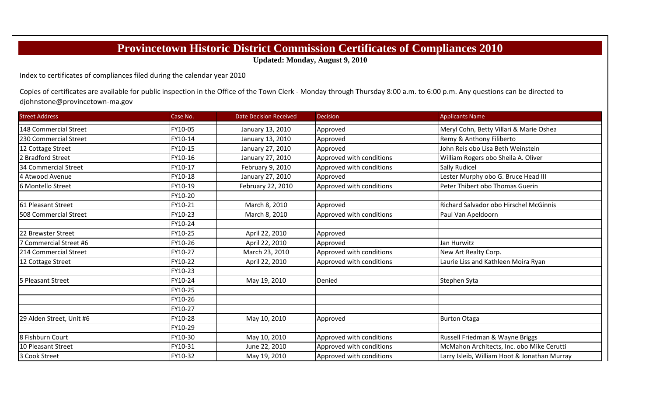## **Provincetown Historic District Commission Certificates of Compliances 2010**

**Updated: Monday, August 9, 2010**

Index to certificates of compliances filed during the calendar year 2010

Copies of certificates are available for public inspection in the Office of the Town Clerk - Monday through Thursday 8:00 a.m. to 6:00 p.m. Any questions can be directed to djohnstone@provincetown-ma.gov

| <b>Street Address</b>    | Case No. | <b>Date Decision Received</b> | <b>Decision</b>          | <b>Applicants Name</b>                        |
|--------------------------|----------|-------------------------------|--------------------------|-----------------------------------------------|
| 148 Commercial Street    | FY10-05  | January 13, 2010              | Approved                 | Meryl Cohn, Betty Villari & Marie Oshea       |
| 230 Commercial Street    | FY10-14  | January 13, 2010              | Approved                 | Remy & Anthony Filiberto                      |
| 12 Cottage Street        | FY10-15  | January 27, 2010              | Approved                 | John Reis obo Lisa Beth Weinstein             |
| 2 Bradford Street        | FY10-16  | January 27, 2010              | Approved with conditions | William Rogers obo Sheila A. Oliver           |
| 34 Commercial Street     | FY10-17  | February 9, 2010              | Approved with conditions | <b>Sally Rudicel</b>                          |
| 4 Atwood Avenue          | FY10-18  | January 27, 2010              | Approved                 | Lester Murphy obo G. Bruce Head III           |
| 6 Montello Street        | FY10-19  | February 22, 2010             | Approved with conditions | Peter Thibert obo Thomas Guerin               |
|                          | FY10-20  |                               |                          |                                               |
| 61 Pleasant Street       | FY10-21  | March 8, 2010                 | Approved                 | <b>Richard Salvador obo Hirschel McGinnis</b> |
| 508 Commercial Street    | FY10-23  | March 8, 2010                 | Approved with conditions | Paul Van Apeldoorn                            |
|                          | FY10-24  |                               |                          |                                               |
| 22 Brewster Street       | FY10-25  | April 22, 2010                | Approved                 |                                               |
| 7 Commercial Street #6   | FY10-26  | April 22, 2010                | Approved                 | Jan Hurwitz                                   |
| 214 Commercial Street    | FY10-27  | March 23, 2010                | Approved with conditions | New Art Realty Corp.                          |
| 12 Cottage Street        | FY10-22  | April 22, 2010                | Approved with conditions | Laurie Liss and Kathleen Moira Ryan           |
|                          | FY10-23  |                               |                          |                                               |
| 5 Pleasant Street        | FY10-24  | May 19, 2010                  | Denied                   | Stephen Syta                                  |
|                          | FY10-25  |                               |                          |                                               |
|                          | FY10-26  |                               |                          |                                               |
|                          | FY10-27  |                               |                          |                                               |
| 29 Alden Street, Unit #6 | FY10-28  | May 10, 2010                  | Approved                 | <b>Burton Otaga</b>                           |
|                          | FY10-29  |                               |                          |                                               |
| 8 Fishburn Court         | FY10-30  | May 10, 2010                  | Approved with conditions | Russell Friedman & Wayne Briggs               |
| 10 Pleasant Street       | FY10-31  | June 22, 2010                 | Approved with conditions | McMahon Architects, Inc. obo Mike Cerutti     |
| 3 Cook Street            | FY10-32  | May 19, 2010                  | Approved with conditions | Larry Isleib, William Hoot & Jonathan Murray  |